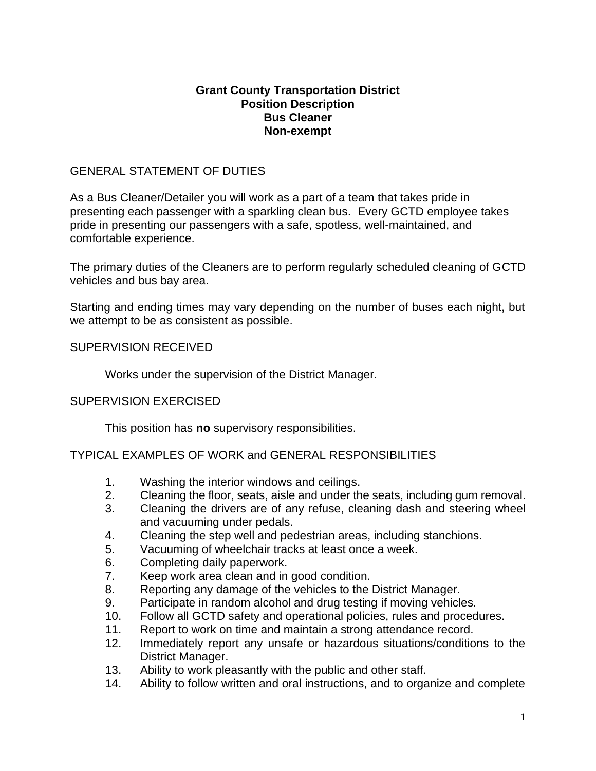### **Grant County Transportation District Position Description Bus Cleaner Non-exempt**

# GENERAL STATEMENT OF DUTIES

As a Bus Cleaner/Detailer you will work as a part of a team that takes pride in presenting each passenger with a sparkling clean bus. Every GCTD employee takes pride in presenting our passengers with a safe, spotless, well-maintained, and comfortable experience.

The primary duties of the Cleaners are to perform regularly scheduled cleaning of GCTD vehicles and bus bay area.

Starting and ending times may vary depending on the number of buses each night, but we attempt to be as consistent as possible.

# SUPERVISION RECEIVED

Works under the supervision of the District Manager.

### SUPERVISION EXERCISED

This position has **no** supervisory responsibilities.

TYPICAL EXAMPLES OF WORK and GENERAL RESPONSIBILITIES

- 1. Washing the interior windows and ceilings.
- 2. Cleaning the floor, seats, aisle and under the seats, including gum removal.
- 3. Cleaning the drivers are of any refuse, cleaning dash and steering wheel and vacuuming under pedals.
- 4. Cleaning the step well and pedestrian areas, including stanchions.
- 5. Vacuuming of wheelchair tracks at least once a week.
- 6. Completing daily paperwork.
- 7. Keep work area clean and in good condition.
- 8. Reporting any damage of the vehicles to the District Manager.
- 9. Participate in random alcohol and drug testing if moving vehicles.
- 10. Follow all GCTD safety and operational policies, rules and procedures.
- 11. Report to work on time and maintain a strong attendance record.
- 12. Immediately report any unsafe or hazardous situations/conditions to the District Manager.
- 13. Ability to work pleasantly with the public and other staff.
- 14. Ability to follow written and oral instructions, and to organize and complete